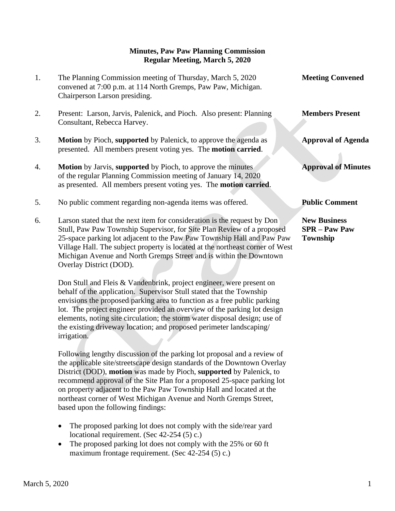## **Minutes, Paw Paw Planning Commission Regular Meeting, March 5, 2020**

- 1. The Planning Commission meeting of Thursday, March 5, 2020 **Meeting Convened** convened at 7:00 p.m. at 114 North Gremps, Paw Paw, Michigan. Chairperson Larson presiding.
- 2. Present: Larson, Jarvis, Palenick, and Pioch. Also present: Planning **Members Present** Consultant, Rebecca Harvey.
- 3. **Motion** by Pioch, **supported** by Palenick, to approve the agenda as **Approval of Agenda** presented. All members present voting yes. The **motion carried**.
- 4. **Motion** by Jarvis, **supported** by Pioch, to approve the minutes **Approval of Minutes** of the regular Planning Commission meeting of January 14, 2020 as presented. All members present voting yes. The **motion carried**.
- 5. No public comment regarding non-agenda items was offered. **Public Comment**
- 6. Larson stated that the next item for consideration is the request by Don **New Business** Stull, Paw Paw Township Supervisor, for Site Plan Review of a proposed **SPR – Paw Paw** 25-space parking lot adjacent to the Paw Paw Township Hall and Paw Paw **Township** Village Hall. The subject property is located at the northeast corner of West Michigan Avenue and North Gremps Street and is within the Downtown Overlay District (DOD).

 Don Stull and Fleis & Vandenbrink, project engineer, were present on behalf of the application. Supervisor Stull stated that the Township envisions the proposed parking area to function as a free public parking lot. The project engineer provided an overview of the parking lot design elements, noting site circulation; the storm water disposal design; use of the existing driveway location; and proposed perimeter landscaping/ irrigation.

 Following lengthy discussion of the parking lot proposal and a review of the applicable site/streetscape design standards of the Downtown Overlay District (DOD), **motion** was made by Pioch, **supported** by Palenick, to recommend approval of the Site Plan for a proposed 25-space parking lot on property adjacent to the Paw Paw Township Hall and located at the northeast corner of West Michigan Avenue and North Gremps Street, based upon the following findings:

- The proposed parking lot does not comply with the side/rear yard locational requirement. (Sec 42-254 (5) c.)
- The proposed parking lot does not comply with the 25% or 60 ft maximum frontage requirement. (Sec 42-254 (5) c.)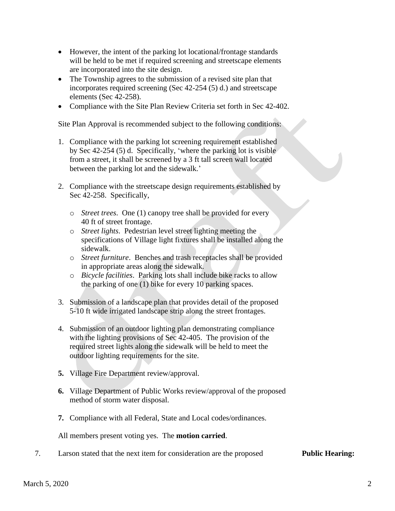- However, the intent of the parking lot locational/frontage standards will be held to be met if required screening and streetscape elements are incorporated into the site design.
- The Township agrees to the submission of a revised site plan that incorporates required screening (Sec 42-254 (5) d.) and streetscape elements (Sec 42-258).
- Compliance with the Site Plan Review Criteria set forth in Sec 42-402.

Site Plan Approval is recommended subject to the following conditions:

- 1. Compliance with the parking lot screening requirement established by Sec 42-254 (5) d. Specifically, 'where the parking lot is visible from a street, it shall be screened by a 3 ft tall screen wall located between the parking lot and the sidewalk.'
- 2. Compliance with the streetscape design requirements established by Sec 42-258. Specifically,
	- o *Street trees*. One (1) canopy tree shall be provided for every 40 ft of street frontage.
	- o *Street lights*. Pedestrian level street lighting meeting the specifications of Village light fixtures shall be installed along the sidewalk.
	- o *Street furniture*. Benches and trash receptacles shall be provided in appropriate areas along the sidewalk.
	- o *Bicycle facilities*. Parking lots shall include bike racks to allow the parking of one (1) bike for every 10 parking spaces.
- 3. Submission of a landscape plan that provides detail of the proposed 5-10 ft wide irrigated landscape strip along the street frontages.
- 4. Submission of an outdoor lighting plan demonstrating compliance with the lighting provisions of Sec 42-405. The provision of the required street lights along the sidewalk will be held to meet the outdoor lighting requirements for the site.
- **5.** Village Fire Department review/approval.
- **6.** Village Department of Public Works review/approval of the proposed method of storm water disposal.
- **7.** Compliance with all Federal, State and Local codes/ordinances.

All members present voting yes. The **motion carried**.

7. Larson stated that the next item for consideration are the proposed **Public Hearing:**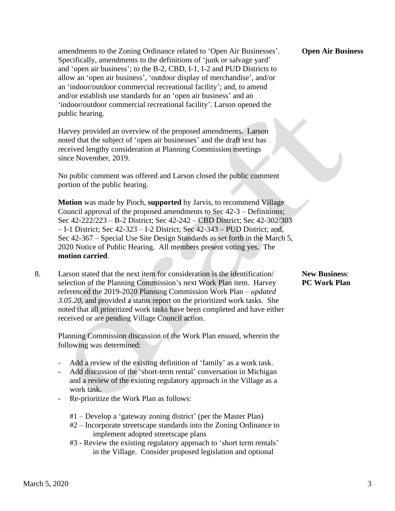amendments to the Zoning Ordinance related to 'Open Air Businesses'. **Open Air Business** Specifically, amendments to the definitions of 'junk or salvage yard' and 'open air business'; to the B-2, CBD, I-1, I-2 and PUD Districts to allow an 'open air business', 'outdoor display of merchandise', and/or an 'indoor/outdoor commercial recreational facility'; and, to amend and/or establish use standards for an 'open air business' and an 'indoor/outdoor commercial recreational facility'. Larson opened the public hearing.

 Harvey provided an overview of the proposed amendments. Larson noted that the subject of 'open air businesses' and the draft text has received lengthy consideration at Planning Commission meetings since November, 2019.

 No public comment was offered and Larson closed the public comment portion of the public hearing.

 **Motion** was made by Pioch, **supported** by Jarvis, to recommend Village Council approval of the proposed amendments to Sec 42-3 – Definitions; Sec 42-222/223 – B-2 District; Sec 42-242 – CBD District; Sec 42-302/303 – I-1 District; Sec 42-323 – I-2 District; Sec 42-343 – PUD District; and, Sec 42-367 – Special Use Site Design Standards as set forth in the March 5, 2020 Notice of Public Hearing. All members present voting yes. The  **motion carried**.

8. Larson stated that the next item for consideration is the identification/ **New Business**: selection of the Planning Commission's next Work Plan item. Harvey **PC Work Plan**  referenced the 2019-2020 Planning Commission Work Plan – *updated 3.05.20*, and provided a status report on the prioritized work tasks. She noted that all prioritized work tasks have been completed and have either received or are pending Village Council action.

 Planning Commission discussion of the Work Plan ensued, wherein the following was determined:

- Add a review of the existing definition of 'family' as a work task.
- Add discussion of the 'short-term rental' conversation in Michigan and a review of the existing regulatory approach in the Village as a work task.
- Re-prioritize the Work Plan as follows:
	- #1 Develop a 'gateway zoning district' (per the Master Plan)
	- #2 Incorporate streetscape standards into the Zoning Ordinance to implement adopted streetscape plans
	- #3 Review the existing regulatory approach to 'short term rentals' in the Village. Consider proposed legislation and optional